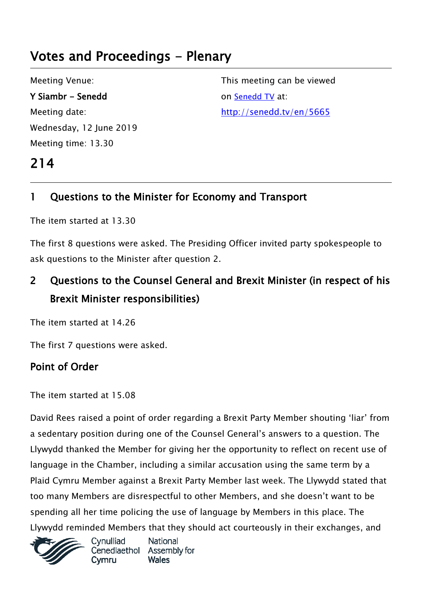# Votes and Proceedings - Plenary

Meeting Venue: Y Siambr - Senedd Meeting date: Wednesday, 12 June 2019 Meeting time: 13.30

214

This meeting can be viewed on [Senedd TV](http://senedd.tv/) at: http://senedd.tv/en/5665

# 1 Questions to the Minister for Economy and Transport

The item started at 13.30

The first 8 questions were asked. The Presiding Officer invited party spokespeople to ask questions to the Minister after question 2.

# 2 Questions to the Counsel General and Brexit Minister (in respect of his Brexit Minister responsibilities)

The item started at 14.26

The first 7 questions were asked.

# Point of Order

The item started at 15.08

David Rees raised a point of order regarding a Brexit Party Member shouting 'liar' from a sedentary position during one of the Counsel General's answers to a question. The Llywydd thanked the Member for giving her the opportunity to reflect on recent use of language in the Chamber, including a similar accusation using the same term by a Plaid Cymru Member against a Brexit Party Member last week. The Llywydd stated that too many Members are disrespectful to other Members, and she doesn't want to be spending all her time policing the use of language by Members in this place. The Llywydd reminded Members that they should act courteously in their exchanges, and



Cynulliad National Cenedlaethol Assembly for **Wales**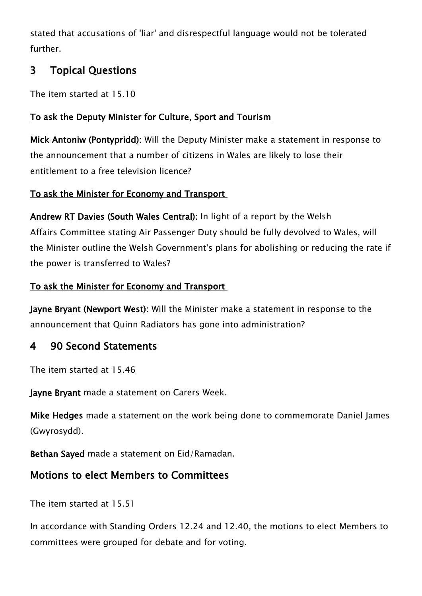stated that accusations of 'liar' and disrespectful language would not be tolerated further.

# 3 Topical Questions

The item started at 15.10

## To ask the Deputy Minister for Culture, Sport and Tourism

Mick Antoniw (Pontypridd): Will the Deputy Minister make a statement in response to the announcement that a number of citizens in Wales are likely to lose their entitlement to a free television licence?

### To ask the Minister for Economy and Transport

Andrew RT Davies (South Wales Central): In light of a report by the Welsh Affairs Committee stating Air Passenger Duty should be fully devolved to Wales, will the Minister outline the Welsh Government's plans for abolishing or reducing the rate if the power is transferred to Wales?

#### To ask the Minister for Economy and Transport

Jayne Bryant (Newport West): Will the Minister make a statement in response to the announcement that Quinn Radiators has gone into administration?

# 4 90 Second Statements

The item started at 15.46

Jayne Bryant made a statement on Carers Week.

Mike Hedges made a statement on the work being done to commemorate Daniel James (Gwyrosydd).

Bethan Sayed made a statement on Eid/Ramadan.

# Motions to elect Members to Committees

The item started at 15.51

In accordance with Standing Orders 12.24 and 12.40, the motions to elect Members to committees were grouped for debate and for voting.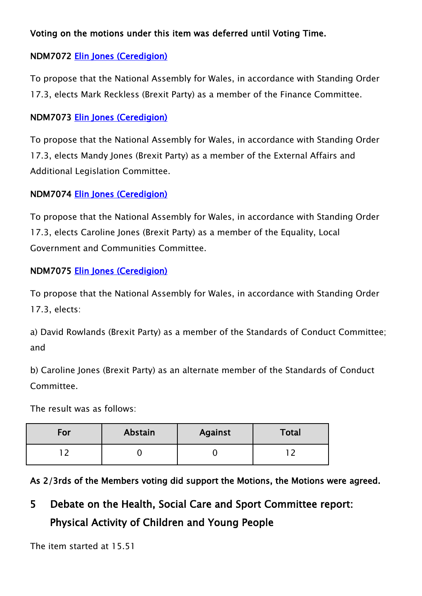#### Voting on the motions under this item was deferred until Voting Time.

### NDM7072 [Elin Jones \(Ceredigion\)](http://www.assembly.wales/en/memhome/Pages/MemberProfile.aspx?mid=162)

To propose that the National Assembly for Wales, in accordance with Standing Order 17.3, elects Mark Reckless (Brexit Party) as a member of the Finance Committee.

#### NDM7073 [Elin Jones \(Ceredigion\)](http://www.assembly.wales/en/memhome/Pages/MemberProfile.aspx?mid=162)

To propose that the National Assembly for Wales, in accordance with Standing Order 17.3, elects Mandy Jones (Brexit Party) as a member of the External Affairs and Additional Legislation Committee.

#### NDM7074 [Elin Jones \(Ceredigion\)](http://www.assembly.wales/en/memhome/Pages/MemberProfile.aspx?mid=162)

To propose that the National Assembly for Wales, in accordance with Standing Order 17.3, elects Caroline Jones (Brexit Party) as a member of the Equality, Local Government and Communities Committee.

#### NDM7075 [Elin Jones \(Ceredigion\)](http://www.assembly.wales/en/memhome/Pages/MemberProfile.aspx?mid=162)

To propose that the National Assembly for Wales, in accordance with Standing Order 17.3, elects:

a) David Rowlands (Brexit Party) as a member of the Standards of Conduct Committee; and

b) Caroline Jones (Brexit Party) as an alternate member of the Standards of Conduct Committee.

The result was as follows:

| For | Abstain | <b>Against</b> | <b>Total</b> |
|-----|---------|----------------|--------------|
|     |         |                |              |

As 2/3rds of the Members voting did support the Motions, the Motions were agreed.

# 5 Debate on the Health, Social Care and Sport Committee report: Physical Activity of Children and Young People

The item started at 15.51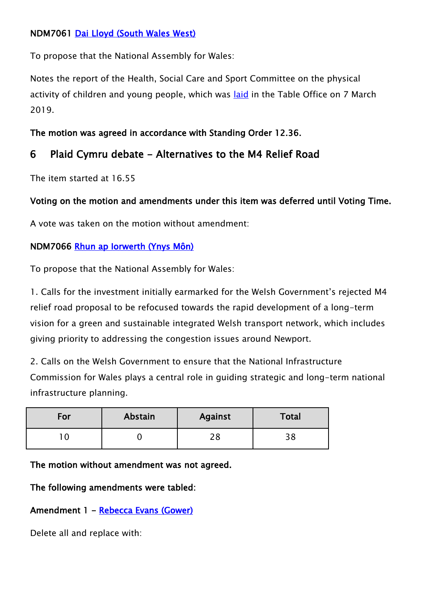#### NDM7061 [Dai Lloyd \(South Wales West\)](http://www.assembly.wales/en/memhome/Pages/MemberProfile.aspx?mid=167)

To propose that the National Assembly for Wales:

Notes the report of the Health, Social Care and Sport Committee on the physical activity of children and young people, which was [laid](http://www.assembly.wales/laid%20documents/cr-ld12369/cr-ld12369-e.pdf) in the Table Office on 7 March 2019.

The motion was agreed in accordance with Standing Order 12.36.

# 6 Plaid Cymru debate - Alternatives to the M4 Relief Road

The item started at 16.55

### Voting on the motion and amendments under this item was deferred until Voting Time.

A vote was taken on the motion without amendment:

#### NDM7066 [Rhun ap Iorwerth \(Ynys Môn\)](http://www.assembly.wales/en/memhome/Pages/MemberProfile.aspx?mid=2717)

To propose that the National Assembly for Wales:

1. Calls for the investment initially earmarked for the Welsh Government's rejected M4 relief road proposal to be refocused towards the rapid development of a long-term vision for a green and sustainable integrated Welsh transport network, which includes giving priority to addressing the congestion issues around Newport.

2. Calls on the Welsh Government to ensure that the National Infrastructure Commission for Wales plays a central role in guiding strategic and long-term national infrastructure planning.

| For | Abstain | <b>Against</b> | Total |
|-----|---------|----------------|-------|
|     |         | ח ר            | ں ر   |

The motion without amendment was not agreed.

The following amendments were tabled:

### Amendment 1 - Rebecca Evans (Gower)

Delete all and replace with: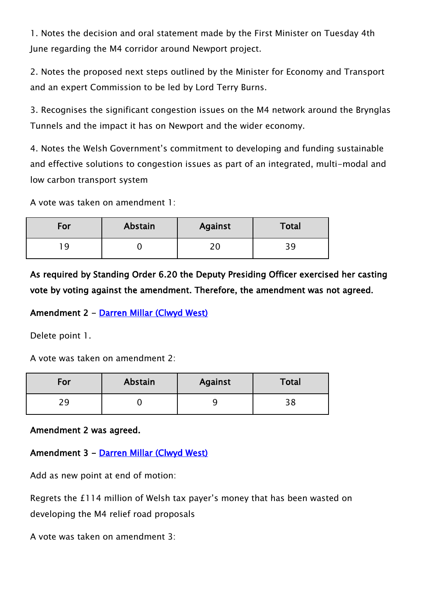1. Notes the decision and oral statement made by the First Minister on Tuesday 4th June regarding the M4 corridor around Newport project.

2. Notes the proposed next steps outlined by the Minister for Economy and Transport and an expert Commission to be led by Lord Terry Burns.

3. Recognises the significant congestion issues on the M4 network around the Brynglas Tunnels and the impact it has on Newport and the wider economy.

4. Notes the Welsh Government's commitment to developing and funding sustainable and effective solutions to congestion issues as part of an integrated, multi-modal and low carbon transport system

A vote was taken on amendment 1:

| For | Abstain | <b>Against</b>      | <b>Total</b> |
|-----|---------|---------------------|--------------|
|     |         | <u>າເ</u><br>$\sim$ | ັ            |

As required by Standing Order 6.20 the Deputy Presiding Officer exercised her casting vote by voting against the amendment. Therefore, the amendment was not agreed.

#### Amendment 2 - [Darren Millar \(Clwyd West\)](http://www.assembly.wales/en/memhome/Pages/MemberProfile.aspx?mid=171)

Delete point 1.

A vote was taken on amendment 2:

| For           | Abstain | <b>Against</b> | Total |
|---------------|---------|----------------|-------|
| $\mathcal{L}$ |         | ۔              |       |

Amendment 2 was agreed.

Amendment 3 - [Darren Millar \(Clwyd West\)](http://www.assembly.wales/en/memhome/Pages/MemberProfile.aspx?mid=171) 

Add as new point at end of motion:

Regrets the £114 million of Welsh tax payer's money that has been wasted on developing the M4 relief road proposals

A vote was taken on amendment 3: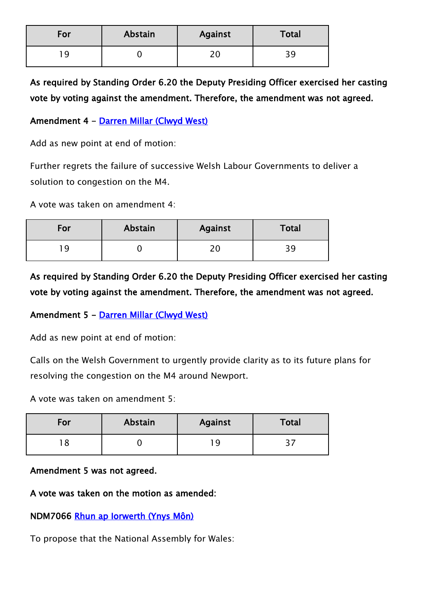| For | Abstain | <b>Against</b> | Total     |
|-----|---------|----------------|-----------|
|     |         | $\mathcal{L}$  | <b>RS</b> |

As required by Standing Order 6.20 the Deputy Presiding Officer exercised her casting vote by voting against the amendment. Therefore, the amendment was not agreed.

#### Amendment 4 - [Darren Millar \(Clwyd West\)](http://www.assembly.wales/en/memhome/Pages/MemberProfile.aspx?mid=171)

Add as new point at end of motion:

Further regrets the failure of successive Welsh Labour Governments to deliver a solution to congestion on the M4.

A vote was taken on amendment 4:

| For | Abstain | <b>Against</b> | Total |
|-----|---------|----------------|-------|
|     |         |                | ັ     |

As required by Standing Order 6.20 the Deputy Presiding Officer exercised her casting vote by voting against the amendment. Therefore, the amendment was not agreed.

#### Amendment 5 - [Darren Millar \(Clwyd West\)](http://www.assembly.wales/en/memhome/Pages/MemberProfile.aspx?mid=171)

Add as new point at end of motion:

Calls on the Welsh Government to urgently provide clarity as to its future plans for resolving the congestion on the M4 around Newport.

A vote was taken on amendment 5:

| For | Abstain | Against | <b>Total</b> |
|-----|---------|---------|--------------|
|     |         |         |              |

#### Amendment 5 was not agreed.

#### A vote was taken on the motion as amended:

#### NDM7066 [Rhun ap Iorwerth \(Ynys Môn\)](http://www.assembly.wales/en/memhome/Pages/MemberProfile.aspx?mid=2717)

To propose that the National Assembly for Wales: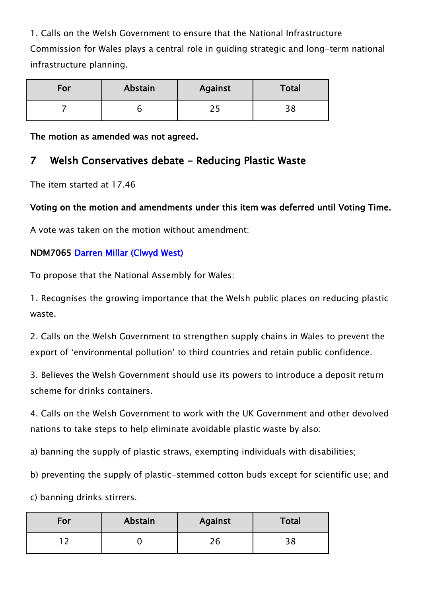1. Calls on the Welsh Government to ensure that the National Infrastructure Commission for Wales plays a central role in guiding strategic and long-term national infrastructure planning.

| For | Abstain | <b>Against</b> | Total |
|-----|---------|----------------|-------|
|     |         |                |       |

The motion as amended was not agreed.

## 7 Welsh Conservatives debate - Reducing Plastic Waste

The item started at 17.46

#### Voting on the motion and amendments under this item was deferred until Voting Time.

A vote was taken on the motion without amendment:

#### NDM7065 [Darren Millar \(Clwyd West\)](http://www.assembly.wales/en/memhome/Pages/MemberProfile.aspx?mid=171)

To propose that the National Assembly for Wales:

1. Recognises the growing importance that the Welsh public places on reducing plastic waste.

2. Calls on the Welsh Government to strengthen supply chains in Wales to prevent the export of 'environmental pollution' to third countries and retain public confidence.

3. Believes the Welsh Government should use its powers to introduce a deposit return scheme for drinks containers.

4. Calls on the Welsh Government to work with the UK Government and other devolved nations to take steps to help eliminate avoidable plastic waste by also:

a) banning the supply of plastic straws, exempting individuals with disabilities;

b) preventing the supply of plastic-stemmed cotton buds except for scientific use; and

c) banning drinks stirrers.

| For | Abstain | <b>Against</b> | Total |
|-----|---------|----------------|-------|
|     |         | 26             |       |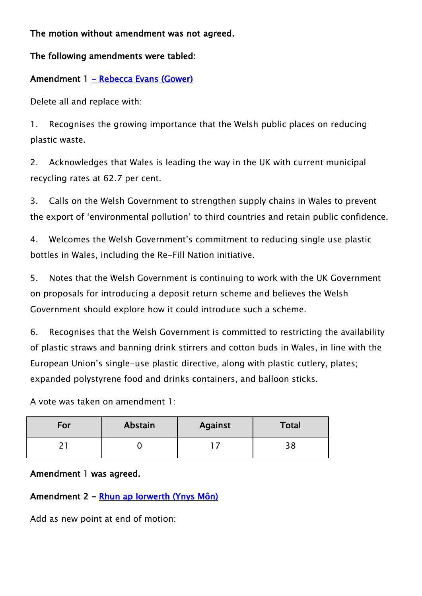The motion without amendment was not agreed.

The following amendments were tabled:

### Amendment 1 - Rebecca Evans (Gower)

Delete all and replace with:

1. Recognises the growing importance that the Welsh public places on reducing plastic waste.

2. Acknowledges that Wales is leading the way in the UK with current municipal recycling rates at 62.7 per cent.

3. Calls on the Welsh Government to strengthen supply chains in Wales to prevent the export of 'environmental pollution' to third countries and retain public confidence.

4. Welcomes the Welsh Government's commitment to reducing single use plastic bottles in Wales, including the Re-Fill Nation initiative.

5. Notes that the Welsh Government is continuing to work with the UK Government on proposals for introducing a deposit return scheme and believes the Welsh Government should explore how it could introduce such a scheme.

6. Recognises that the Welsh Government is committed to restricting the availability of plastic straws and banning drink stirrers and cotton buds in Wales, in line with the European Union's single-use plastic directive, along with plastic cutlery, plates; expanded polystyrene food and drinks containers, and balloon sticks.

A vote was taken on amendment 1:

| For | Abstain | <b>Against</b> | Total     |
|-----|---------|----------------|-----------|
| ¬   |         |                | ס כ<br>эo |

#### Amendment 1 was agreed.

### Amendment 2 - [Rhun ap Iorwerth \(Ynys Môn\)](http://www.assembly.wales/en/memhome/Pages/MemberProfile.aspx?mid=2717)

Add as new point at end of motion: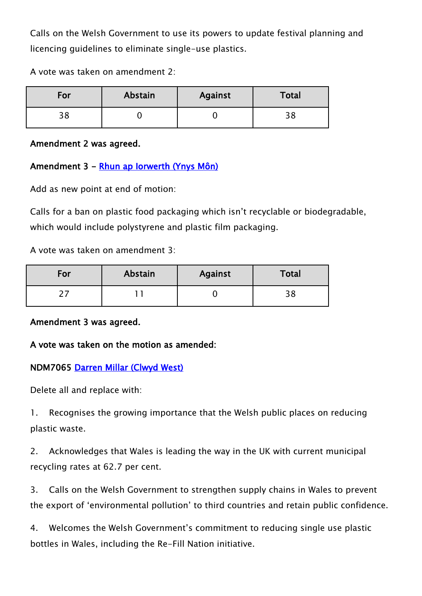Calls on the Welsh Government to use its powers to update festival planning and licencing guidelines to eliminate single-use plastics.

A vote was taken on amendment 2:

| For              | Abstain | <b>Against</b> | Total |
|------------------|---------|----------------|-------|
| <u>ີດ</u><br>ں ر |         |                | ں ر   |

Amendment 2 was agreed.

#### Amendment 3 - [Rhun ap Iorwerth \(Ynys Môn\)](http://www.assembly.wales/en/memhome/Pages/MemberProfile.aspx?mid=2717)

Add as new point at end of motion:

Calls for a ban on plastic food packaging which isn't recyclable or biodegradable, which would include polystyrene and plastic film packaging.

A vote was taken on amendment 3:

| For | Abstain | <b>Against</b> | Total      |
|-----|---------|----------------|------------|
|     |         |                | ס כ<br>ه د |

#### Amendment 3 was agreed.

#### A vote was taken on the motion as amended:

#### NDM7065 [Darren Millar \(Clwyd West\)](http://www.assembly.wales/en/memhome/Pages/MemberProfile.aspx?mid=171)

Delete all and replace with:

1. Recognises the growing importance that the Welsh public places on reducing plastic waste.

2. Acknowledges that Wales is leading the way in the UK with current municipal recycling rates at 62.7 per cent.

3. Calls on the Welsh Government to strengthen supply chains in Wales to prevent the export of 'environmental pollution' to third countries and retain public confidence.

4. Welcomes the Welsh Government's commitment to reducing single use plastic bottles in Wales, including the Re-Fill Nation initiative.